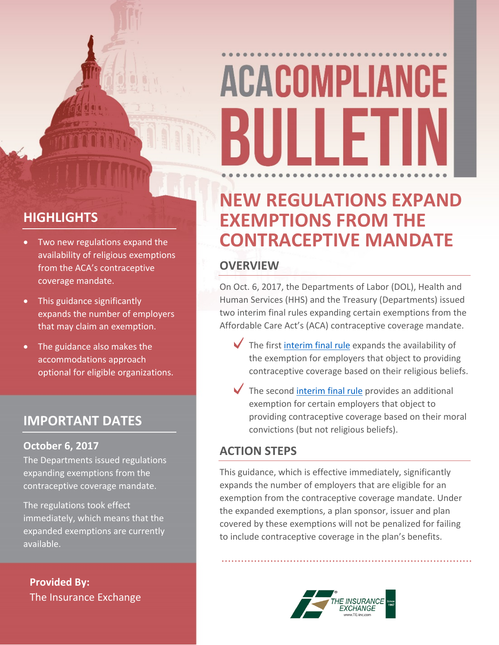# **ACACOMPLIANCE** F н

## **HIGHLIGHTS**

- Two new regulations expand the availability of religious exemptions from the ACA's contraceptive coverage mandate.
- This guidance significantly expands the number of employers that may claim an exemption.
- The guidance also makes the accommodations approach optional for eligible organizations.

## **IMPORTANT DATES**

#### **October 6, 2017**

The Departments issued regulations expanding exemptions from the contraceptive coverage mandate.

The regulations took effect immediately, which means that the expanded exemptions are currently available.

**Provided By:** The Insurance Exchange

# **NEW REGULATIONS EXPAND EXEMPTIONS FROM THE CONTRACEPTIVE MANDATE**

### **OVERVIEW**

On Oct. 6, 2017, the Departments of Labor (DOL), Health and Human Services (HHS) and the Treasury (Departments) issued two interim final rules expanding certain exemptions from the Affordable Care Act's (ACA) contraceptive coverage mandate.

- $\blacktriangledown$  The first [interim](https://s3.amazonaws.com/public-inspection.federalregister.gov/2017-21851.pdf) final rule expands the availability of the exemption for employers that object to providing contraceptive coverage based on their religious beliefs.
- $\blacktriangledown$  The second [interim](https://s3.amazonaws.com/public-inspection.federalregister.gov/2017-21852.pdf) final rule provides an additional exemption for certain employers that object to providing contraceptive coverage based on their moral convictions (but not religious beliefs).

### **ACTION STEPS**

This guidance, which is effective immediately, significantly expands the number of employers that are eligible for an exemption from the contraceptive coverage mandate. Under the expanded exemptions, a plan sponsor, issuer and plan covered by these exemptions will not be penalized for failing to include contraceptive coverage in the plan's benefits.

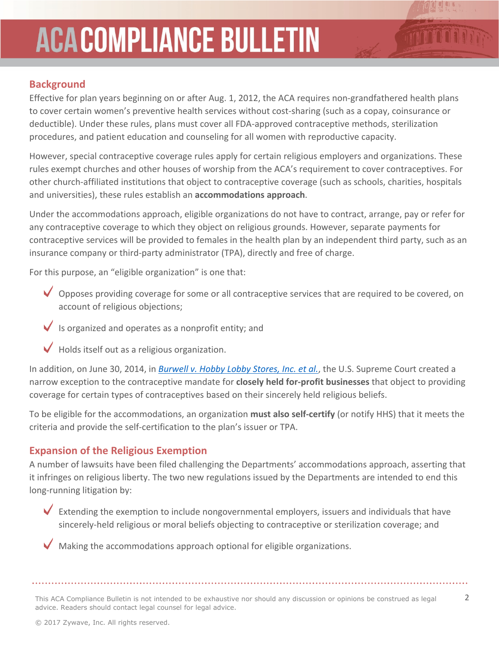# **ACACOMPLIANCE BULLETIN**

#### **Background**

Effective for plan years beginning on or after Aug. 1, 2012, the ACA requires non-grandfathered health plans to cover certain women's preventive health services without cost-sharing (such as a copay, coinsurance or deductible). Under these rules, plans must cover all FDA-approved contraceptive methods, sterilization procedures, and patient education and counseling for all women with reproductive capacity.

However, special contraceptive coverage rules apply for certain religious employers and organizations. These rules exempt churches and other houses of worship from the ACA's requirement to cover contraceptives. For other church-affiliated institutions that object to contraceptive coverage (such as schools, charities, hospitals and universities), these rules establish an **accommodations approach**.

Under the accommodations approach, eligible organizations do not have to contract, arrange, pay or refer for any contraceptive coverage to which they object on religious grounds. However, separate payments for contraceptive services will be provided to females in the health plan by an independent third party, such as an insurance company or third-party administrator (TPA), directly and free of charge.

For this purpose, an "eligible organization" is one that:

- $\triangledown$  Opposes providing coverage for some or all contraceptive services that are required to be covered, on account of religious objections;
- $\blacktriangleright$  Is organized and operates as a nonprofit entity; and
- Holds itself out as a religious organization.

In addition, on June 30, 2014, in *[Burwell](http://www.supremecourt.gov/opinions/13pdf/13-354_olp1.pdf) v. Hobby Lobby Stores, Inc. et al.*, the U.S. Supreme Court created a narrow exception to the contraceptive mandate for **closely held for-profit businesses** that object to providing coverage for certain types of contraceptives based on their sincerely held religious beliefs.

To be eligible for the accommodations, an organization **must also self-certify** (or notify HHS) that it meets the criteria and provide the self-certification to the plan's issuer or TPA.

#### **Expansion of the Religious Exemption**

A number of lawsuits have been filed challenging the Departments' accommodations approach, asserting that it infringes on religious liberty. The two new regulations issued by the Departments are intended to end this long-running litigation by:

 $\blacktriangledown$  Extending the exemption to include nongovernmental employers, issuers and individuals that have sincerely-held religious or moral beliefs objecting to contraceptive or sterilization coverage; and

Making the accommodations approach optional for eligible organizations.

This ACA Compliance Bulletin is not intended to be exhaustive nor should any discussion or opinions be construed as legal 2 advice. Readers should contact legal counsel for legal advice.